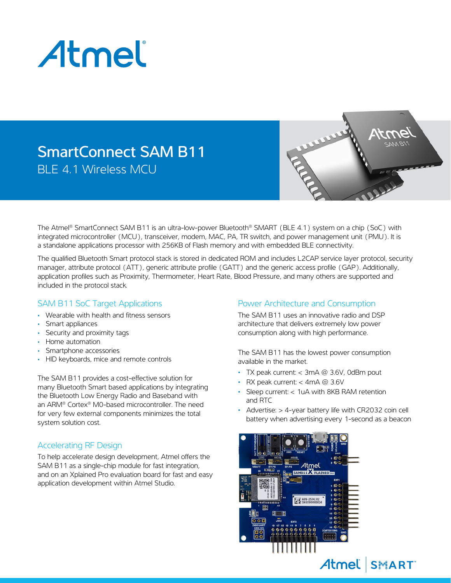

## SmartConnect SAM B11 BLE 4.1 Wireless MCU



The Atmel® SmartConnect SAM B11 is an ultra-low-power Bluetooth® SMART (BLE 4.1) system on a chip (SoC) with integrated microcontroller (MCU), transceiver, modem, MAC, PA, TR switch, and power management unit (PMU). It is a standalone applications processor with 256KB of Flash memory and with embedded BLE connectivity.

The qualified Bluetooth Smart protocol stack is stored in dedicated ROM and includes L2CAP service layer protocol, security manager, attribute protocol (ATT), generic attribute profile (GATT) and the generic access profile (GAP). Additionally, application profiles such as Proximity, Thermometer, Heart Rate, Blood Pressure, and many others are supported and included in the protocol stack.

#### SAM B11 SoC Target Applications

- Wearable with health and fitness sensors
- Smart appliances
- Security and proximity tags
- Home automation
- Smartphone accessories
- HID keyboards, mice and remote controls

The SAM B11 provides a cost-effective solution for many Bluetooth Smart based applications by integrating the Bluetooth Low Energy Radio and Baseband with an ARM® Cortex® M0-based microcontroller. The need for very few external components minimizes the total system solution cost.

### Accelerating RF Design

To help accelerate design development, Atmel offers the SAM B11 as a single-chip module for fast integration, and on an Xplained Pro evaluation board for fast and easy application development within Atmel Studio.

#### Power Architecture and Consumption

The SAM B11 uses an innovative radio and DSP architecture that delivers extremely low power consumption along with high performance.

The SAM B11 has the lowest power consumption available in the market.

- TX peak current:  $<$  3mA  $@$  3.6V, 0dBm pout
- RX peak current:  $<$  4mA  $@$  3.6V
- Sleep current: < 1uA with 8KB RAM retention and RTC
- Advertise: > 4-year battery life with CR2032 coin cell battery when advertising every 1-second as a beacon